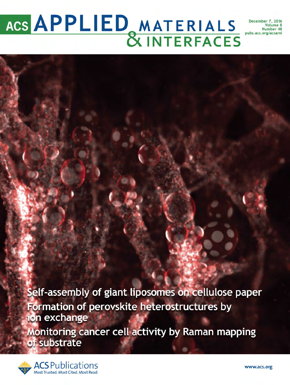# ACS APPLIED MATERIALS Number 7, 2016

Self-assembly of giant liposomes on cellulose paper Formation of perovskite heterostructures by ion exchange

Monitoring cancer cell activity by Raman mapping of substrate

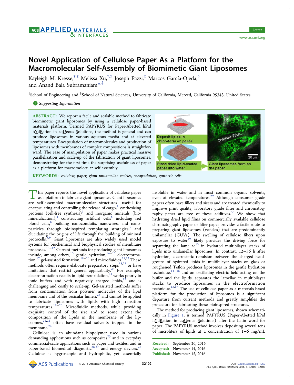# AGS APPLIED MATERIALS **NINTERFACES**

# Novel Application of Cellulose Paper As a Platform for the Macromolecular Self-Assembly of Biomimetic Giant Liposomes

Kayleigh M. Kresse, $^{\dagger,\ddagger}$  Melissa Xu, $^{\dagger,\ddagger}$  Joseph Pazzi, $^{\ddagger}$  Marcos García-Ojeda, $^{\S}$ and Anand Bala Subramaniam[\\*](#page-5-0),‡

 $^{\ddagger}$ School of Engineering and  $^{\$}$ School of Natural Sciences, University of California, Merced, California 95343, United States

## **S** [Supporting Information](#page-5-0)

ABSTRACT: We report a facile and scalable method to fabricate biomimetic giant liposomes by using a cellulose paper-based materials platform. Termed PAPYRUS for Paper-Abetted liPid hYdRation in aqUeous Solutions, the method is general and can produce liposomes in various aqueous media and at elevated temperatures. Encapsulation of macromolecules and production of liposomes with membranes of complex compositions is straightforward. The ease of manipulation of paper makes practical massive parallelization and scale-up of the fabrication of giant liposomes, demonstrating for the first time the surprising usefulness of paper as a platform for macromolecular self-assembly.



KEYWORDS: cellulose, paper, giant unilamellar vesicles, encapsulation, synthetic cells

 $\Gamma$  his paper reports the novel application of cellulose paper<br>as a platform to fabricate giant liposomes. Giant liposomes<br>are self-assembled, macromologylar, structures<sup>1</sup>, useful, for are self-assembled macromolecular structures<sup>1</sup> useful for encapsulating and controlling the release of cargo, $^2$  $^2$  synthesizing proteins (cell-free synthesis) $3$  and inorganic minerals (biomineralization), $4$  constructing artificial cells<sup>[5](#page-5-0)</sup> including red blood cells,<sup>[6](#page-5-0)</sup> building nanoconduits, nanowires, and nanoparticles through bioinspired templating strategies, $7$  and elucidating the origins of life through the building of minimal protocells.<sup>[8,9](#page-5-0)</sup> Giant liposomes are also widely used model systems for biochemical and biophysical studies of membrane processes.[10](#page-5-0)−[12](#page-5-0) Current methods for producing giant liposomes include, among others, $13$  gentle hydration, $14-18$  $14-18$  electroforma-tion,<sup>[17](#page-5-0)</sup> gel-assisted formation,<sup>[18](#page-5-0)–[20](#page-5-0)</sup> and microfluidics.<sup>[21](#page-5-0),[22](#page-5-0)</sup> These methods often require elaborate preparatory steps<sup>[13,22](#page-5-0)</sup> or have limitations that restrict general applicability.<sup>[23](#page-5-0)</sup> For example, electroformation results in lipid peroxidation,  $24$  works poorly in ionic buffers and with negatively charged lipids, $13$  and is challenging and costly to scale-up. Gel-assisted methods suffer from contamination from polymer molecules of the lipid membrane and of the vesicular lumen, $^{23}$  $^{23}$  $^{23}$  and cannot be applied to fabricate liposomes with lipids with high transition temperatures.[18](#page-5-0)−[20](#page-5-0) Microfluidic methods, while providing exquisite control of the size and to some extent the composition of the lipids in the membrane of the lip- $\cos \theta$  often have residual solvents trapped in the membrane.<sup>[22](#page-5-0)</sup>

Cellulose is an abundant biopolymer used in various demanding applications such as composites<sup>[25](#page-6-0)</sup> and in everyday commercial-scale applications such as paper and textiles, and in paper-based biomedical diagnostic<sup>[26,27](#page-6-0)</sup> and energy devices.<sup>[28](#page-6-0)</sup> Cellulose is hygroscopic and hydrophilic, yet essentially

insoluble in water and in most common organic solvents, even at elevated temperatures.<sup>[29](#page-6-0)</sup> Although consumer grade papers often have fillers and sizers and are treated chemically to improve print quality, laboratory grade filter and chromatog-raphy paper are free of these additives.<sup>[30](#page-6-0)</sup> We show that hydrating dried lipid films on commercially available cellulose chromatography paper or filter paper provides a facile route to preparing giant liposomes (vesicles) that are predominantly unilamellar (GUVs). The swelling of cellulose fibers upon exposure to water<sup>[29](#page-6-0)</sup> likely provides the driving force for separating the lamellae $^{13}$  $^{13}$  $^{13}$  in hydrated multibilayer stacks of lipids into unilamellar liposomes. In contrast, 12−36 h after hydration, electrostatic repulsion between the charged headgroups of hydrated lipids in multibilayer stacks on glass or roughened Teflon produces liposomes in the gentle hydration technique, $14-16$  $14-16$  $14-16$  and an oscillating electric field acting on the buffer and the lipids, separates the lamellae in multibilayer stacks to produce liposomes in the electroformation technique. $13,17$  The use of cellulose paper as a materials-based platform for the production of liposomes is a significant departure from current methods and greatly simplifies the procedure for fabricating these bioinspired structures.

The method for producing giant liposomes, shown schemati-cally in [Figure 1](#page-2-0), is termed PAPYRUS (Paper-Abetted liPid hYdRation in aqUeous Solutions) after the Latin word for paper. The PAPYRUS method involves depositing several tens of microliters of lipids at a concentration of 1−6 mg/mL

Received: September 20, 2016 Accepted: November 14, 2016 Published: November 15, 2016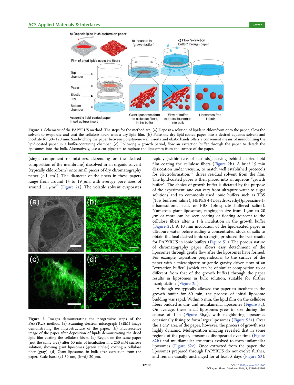<span id="page-2-0"></span>

Figure 1. Schematic of the PAPYRUS method. The steps for the method are: (a) Deposit a solution of lipids in chloroform onto the paper, allow the solvent to evaporate and coat the cellulose fibers with a dry lipid film. (b) Place the dry lipid-coated paper into a desired aqueous solvent and incubate for 30−120 min. Sandwiching the paper between polystyrene well inserts and elastic bands offers a convenient means of immobilizing the lipid-coated paper in a buffer-containing chamber. (c) Following a growth period, flow an extraction buffer through the paper to detach the liposomes into the bulk. Alternatively, use a cut pipet tip to aspirate the liposomes from the surface of the paper.

(single component or mixtures, depending on the desired composition of the membrane) dissolved in an organic solvent (typically chloroform) onto small pieces of dry chromatography paper (~1 cm<sup>2</sup>). The diameter of the fibers in these papers range from around 15 to 19  $\mu$ m, with average pore sizes of around 11  $\mu$ m<sup>30</sup> (Figure 2a). The volatile solvent evaporates



Figure 2. Images demonstrating the progressive steps of the PAPYRUS method. (a) Scanning electron micrograph (SEM) image demonstrating the microstructure of the paper. (b) Fluorescence image of the paper after deposition of lipids demonstrating the dried lipid film coating the cellulose fibers. (c) Region on the same paper (not the same area) after 60 min of incubation in a 250 mM sucrose solution, showing giant liposomes (green circles) coating a cellulose fiber (gray). (d) Giant liposomes in bulk after extraction from the paper. Scale bars: (a) 50  $\mu$ m, (b-d) 20  $\mu$ m.

rapidly (within tens of seconds), leaving behind a dried lipid film coating the cellulose fibers (Figure 2b). A brief 15 min desiccation under vacuum, to match well established protocols for electroformation, $17$  drives residual solvent from the film. The lipid-coated paper is then placed into an aqueous "growth buffer". The choice of growth buffer is dictated by the purpose of the experiment, and can vary from ultrapure water to sugar solutions and to commonly used ionic buffers such as TBS (Tris buffered saline), HEPES 4-(2-Hydroxyethyl)piperazine-1 ethanesulfonic acid, or PBS (phosphate buffered saline). Numerous giant liposomes, ranging in size from  $1 \mu m$  to  $20$  $\mu$ m or more can be seen coating or floating adjacent to the cellulose fibers after a 1 h incubation in the growth buffer (Figure 2c). A 10 min incubation of the lipid-coated paper in ultrapure water before adding a concentrated stock of salts to obtain the final desired ionic strength, produced the best results for PAPYRUS in ionic buffers ([Figure S1](http://pubs.acs.org/doi/suppl/10.1021/acsami.6b11960/suppl_file/am6b11960_si_001.pdf)). The porous nature of chromatography paper allows easy detachment of the liposomes through gentle flow after the liposomes have formed. For example, aspiration perpendicular to the surface of the paper with a micropipette or gentle gravity driven flow of an "extraction buffer" (which can be of similar composition to or different from that of the growth buffer) through the paper results in liposomes in bulk solution, suitable for further manipulation (Figure 2d).

Although we typically allowed the paper to incubate in the growth buffer for 60 min, the process of initial liposome budding was rapid. Within 5 min, the lipid film on the cellulose fibers budded as uni- and multilamellar liposomes ([Figure 3a](#page-3-0)). On average, these small liposomes grew in size during the course of 1 h ([Figure 3b](#page-3-0),c), with neighboring liposomes occasionally fusing to form larger liposomes ([Figure S2a\)](http://pubs.acs.org/doi/suppl/10.1021/acsami.6b11960/suppl_file/am6b11960_si_001.pdf). Over the 1  $\text{cm}^2$  area of the paper, however, the process of growth was highly dynamic. Multiposition imaging revealed that in some regions of the paper, liposomes disappeared over time [\(Figure](http://pubs.acs.org/doi/suppl/10.1021/acsami.6b11960/suppl_file/am6b11960_si_001.pdf) [S2b\)](http://pubs.acs.org/doi/suppl/10.1021/acsami.6b11960/suppl_file/am6b11960_si_001.pdf) and multilamellar structures evolved to form unilamellar liposomes ([Figure S2c](http://pubs.acs.org/doi/suppl/10.1021/acsami.6b11960/suppl_file/am6b11960_si_001.pdf)). Once extracted from the paper, the liposomes prepared through PAPYRUS do not evolve further, and remain visually unchanged for at least 5 days ([Figure S3\)](http://pubs.acs.org/doi/suppl/10.1021/acsami.6b11960/suppl_file/am6b11960_si_001.pdf).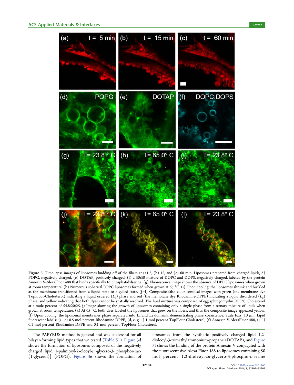<span id="page-3-0"></span>

Figure 3. Time-lapse images of liposomes budding off of the fibers at (a) 5, (b) 15, and (c) 60 min. Liposomes prepared from charged lipids, d) POPG, negatively charged, (e) DOTAP, positively charged, (f) a 50:50 mixture of DOPC and DOPS, negatively charged, labeled by the protein Annexin V-AlexaFluor 488 that binds specifically to phosphatidylserine. (g) Fluorescence image shows the absence of DPPC liposomes when grown at room temperature. (h) Numerous spherical DPPC liposomes formed when grown at 65 °C. (i) Upon cooling, the liposomes shrunk and buckled as the membrane transitioned from a liquid state to a gelled state. (j−l) Composite false color confocal images with green (the membrane dye TopFluor-Cholesterol) indicating a liquid ordered  $(L_0)$  phase and red (the membrane dye Rhodamine-DPPE) indicating a liquid disordered  $(L_d)$ phase, and yellow indicating that both dyes cannot be spatially resolved. The lipid mixture was composed of egg sphingomyelin:DOPC:Cholesterol at a mole percent of 54.8:20:25. j) Image showing the growth of liposomes containing only a single phase from a ternary mixture of lipids when grown at room temperature. (k) At 65  $\degree$ C, both dyes labeled the liposomes that grew on the fibers, and thus the composite image appeared yellow. (l) Upon cooling, the liposomal membranes phase separated into  $L_0$  and  $L_d$  domains, demonstrating phase coexistence. Scale bars, 10  $\mu$ m. Lipid fluorescent labels: (a−c) 0.5 mol percent Rhodamine DPPE, (d, e, g−i) 1 mol percent TopFlour-Cholesterol, (f) Annexin V-AlexaFluor 488, (j−l) 0.1 mol percent Rhodamine-DPPE and 0.1 mol percent TopFlour-Cholesterol.

The PAPYRUS method is general and was successful for all bilayer-forming lipid types that we tested ([Table S1\)](http://pubs.acs.org/doi/suppl/10.1021/acsami.6b11960/suppl_file/am6b11960_si_001.pdf). Figure 3d shows the formation of liposomes composed of the negatively charged lipid 1-palmitoyl-2-oleoyl-sn-glycero-3-[phosphor-rac- (1-glycerol)] (POPG), Figure 3e shows the formation of liposomes from the synthetic positively charged lipid 1,2 dioleoyl-3-trimethylammonium-propane (DOTAP), and Figure 3f shows the binding of the protein Annexin V conjugated with the fluorescent dye Alexa Fluor 488 to liposomes containing 50 mol percent 1,2-dioleoyl-sn-glycero-3-phospho-L-serine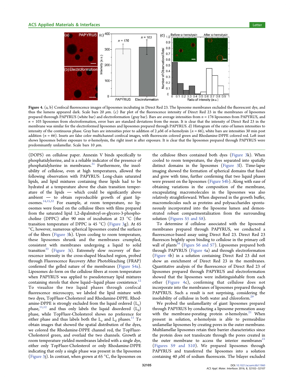<span id="page-4-0"></span>

Figure 4. (a, b) Confocal fluorescence images of liposomes incubating in Direct Red 23. The liposome membranes excluded the fluorescent dye, and thus the lumens appeared dark. Scale bars 20  $\mu$ m. (c) Bar plot of the fluorescence intensity of Direct Red 23 in the membranes of liposomes prepared thorough PAPYRUS (white bar) and electroformation (gray bar). Bars are average intensities from  $n = 176$  liposomes from PAPYRUS, and  $n = 103$  liposomes from electroformation, error bars are standard deviations from the mean. It is clear that the intensity of Direct Red 23 in the membrane was similar for the electroformed liposomes and liposomes prepared through PAPYRUS. d) Histogram of the ratio of lumen intensities to intensity of the continuous phase. Gray bars are intensities prior to addition of 2  $\mu$ M of  $\alpha$ -hemolysin (n = 66), white bars are intensities 30 min post addition  $(n = 66)$ . Insets are false color multichannel confocal images, with fluorescein colored green and Rhodamine-DPPE colored red. Left inset shows liposomes before exposure to  $\alpha$ -hemolysin, the right inset is after exposure. It is clear that the liposomes prepared through PAPYRUS were predominantly unilamellar. Scale bars 10  $\mu$ m.

(DOPS) on cellulose paper. Annexin V binds specifically to phosphatidylserine, and is a reliable indicator of the presence of phosphatidylserine in membranes. $31$  Furthermore, the insolubility of cellulose, even at high temperatures, allowed the following observation with PAPYRUS: Long-chain saturated lipids, and lipid mixtures containing these lipids had to be hydrated at a temperature above the chain transition temperature of the lipids  $-$  which could be significantly above ambient  $-$  to obtain reproducible growth of giant liposomes.[14,15](#page-5-0),[32](#page-6-0) For example, at room temperature, no liposomes were found on the cellulose fibers with films prepared from the saturated lipid 1,2-dipalmitoyl-sn-glycero-3-phosphocholine (DPPC) after 90 min of incubation at 23 °C (the transition temperature of DPPC is 45  $^{\circ}$ C) [\(Figure 3g](#page-3-0)). At 65 °C, however, numerous spherical liposomes coated the surfaces of the fibers ([Figure 3h](#page-3-0)). Upon cooling to room temperature, these liposomes shrunk and the membranes crumpled, consistent with membranes undergoing a liquid to solid transition $33$  ([Figure 3i](#page-3-0)). Extremely slow recovery of fluorescence intensity in the cross-shaped bleached region, probed through Fluorescence Recovery After Photobleaching (FRAP) confirmed the gelled nature of the membranes ([Figure S4a\)](http://pubs.acs.org/doi/suppl/10.1021/acsami.6b11960/suppl_file/am6b11960_si_001.pdf). Liposomes do form on the cellulose fibers at room temperature when PAPYRUS was applied to pseudoternary lipid mixtures containing sterols that show liquid–liquid phase coexistence.<sup>[12](#page-5-0)</sup> To visualize the two liquid phases through confocal fluorescence microscopy, we labeled the lipid mixture with two dyes, TopFluor-Cholesterol and Rhodamine-DPPE. Rhodamine-DPPE is strongly excluded from the liquid ordered  $(L_0)$ phase,  $11,12$  and thus only labels the liquid disordered  $(L_d)$ phase, while TopFluor-Cholesterol shows no preference for either phase and thus labels both the  $L_0$  and  $L_d$  phases.<sup>[11](#page-5-0)</sup> To obtain images that showed the spatial distribution of the dyes, we colored the Rhodamine-DPPE channel red, the TopFluor-Cholesterol green, and overlaid the two channels. Growth at room temperature yielded membranes labeled with a single dye, either only TopFluor-Cholesterol or only Rhodamine-DPPE indicating that only a single phase was present in the liposomes [\(Figure 3j](#page-3-0)). In contrast, when grown at 65 °C, the liposomes on

the cellulose fibers contained both dyes ([Figure 3k](#page-3-0)). When cooled to room temperature, the dyes separated into spatially distinct domains in the liposomes [\(Figure 3l](#page-3-0)). Time-lapse imaging showed the formation of spherical domains that fused and grew with time, further confirming that two liquid phases were present on the liposomes ([Figure S4b\)](http://pubs.acs.org/doi/suppl/10.1021/acsami.6b11960/suppl_file/am6b11960_si_001.pdf). Along with ease of obtaining variations in the composition of the membrane, encapsulating macromolecules in the liposomes was also relatively straightforward. When dispersed in the growth buffer, macromolecules such as proteins and polysaccharides spontaneously incorporated into the liposome lumen and demonstrated robust compartmentalization from the surrounding solution [\(Figures S5 and S8\)](http://pubs.acs.org/doi/suppl/10.1021/acsami.6b11960/suppl_file/am6b11960_si_001.pdf).

To determine if cellulose associated with the liposomal membranes prepared through PAPYRUS, we conducted a fluorescence-based assay using Direct Red 23. Direct Red 23 fluoresces brightly upon binding to cellulose in the primary cell wall of plants<sup>[34](#page-6-0)</sup> [\(Figurs S6 and S7\)](http://pubs.acs.org/doi/suppl/10.1021/acsami.6b11960/suppl_file/am6b11960_si_001.pdf). Liposomes prepared both through PAPYRUS (Figure 4a) and through electroformation (Figure 4b) in a solution containing Direct Red 23 did not show an enrichment of Direct Red 23 in the membranes. Quantitative analysis of the fluorescence of Direct Red 23 of liposomes prepared through PAPYRUS and electroformation showed that the liposomes were indistinguishable from each other (Figure 4c), confirming that cellulose does not incorporate into the membranes of liposomes prepared through PAPYRUS. Such a result is not surprising, considering the insolubility of cellulose in both water and chloroform.<sup>[29](#page-6-0)</sup>

We probed the unilamellarity of giant liposomes prepared through PAPYRUS by conducting a liposome permeation assay with the membrane-porating protein  $\alpha$ -hemolysin.<sup>[21](#page-5-0)</sup> When present in solution,  $\alpha$ -hemolysin is able to permeabilize unilamellar liposomes by creating pores in the outer membrane. Multilamellar liposomes retain their barrier characteristics since the protein does not translocate through the pores created in the outer membrane to access the interior membranes $21$ ([Figures S9 and S10](http://pubs.acs.org/doi/suppl/10.1021/acsami.6b11960/suppl_file/am6b11960_si_001.pdf)). We prepared liposomes through PAPYRUS and transferred the liposomes into a solution containing 40  $\mu$ M of sodium fluorescein. The bilayer excluded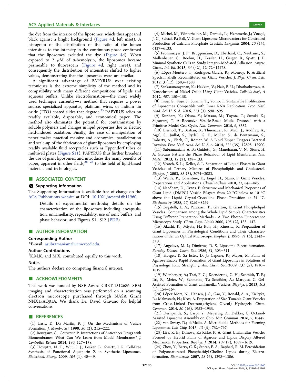<span id="page-5-0"></span>the dye from the interior of the liposomes, which thus appeared black against a bright background [\(Figure 4d](#page-4-0), left inset). A histogram of the distribution of the ratio of the lumen intensities to the intensity in the continuous phase confirmed that the liposomes excluded the dye [\(Figure 4d](#page-4-0)). When exposed to 2  $\mu$ M of  $\alpha$ -hemolysin, the liposomes became permeable to fluorescein [\(Figure 4](#page-4-0)d, right inset), and consequently the distribution of intensities shifted to higher values, demonstrating that the liposomes were unilamellar.

A significant advantage of PAPYRUS over existing techniques is the extreme simplicity of the method and its compatibility with many different compositions of lipids and aqueous buffers. Unlike electroformation-the most widely used technique currently—a method that requires a power source, specialized apparatus, platinum wires, or indium tin oxide  $(ITO)$  coated slides that degrade,<sup>[35](#page-6-0)</sup> PAPYRUS relies on readily available, disposable, and economical paper. The method also eliminates the potential for contamination by soluble polymers and changes in lipid properties due to electric field-induced oxidation. Finally, the ease of manipulation of paper makes practical massive and economical parallelization and scale-up of the fabrication of giant liposomes by employing readily available fluid receptacles such as Eppendorf tubes or multiwell plates [\(Figure S11](http://pubs.acs.org/doi/suppl/10.1021/acsami.6b11960/suppl_file/am6b11960_si_001.pdf)). PAPYRUS thus further broadens the use of giant liposomes, and introduces the many benefits of paper, apparent in other fields,<sup>[26](#page-6-0)−[28](#page-6-0)</sup> to the field of lipid-based materials and technologies.

### ■ ASSOCIATED CONTENT

#### **6** Supporting Information

The Supporting Information is available free of charge on the [ACS Publications website](http://pubs.acs.org) at DOI: [10.1021/acsami.6b11960](http://pubs.acs.org/doi/abs/10.1021/acsami.6b11960).

Details of experimental methods; details on the characterization of the liposomes including encapsulation, unilamellarity, repeatability, use of ionic buffers, and phase behavior; and Figures S1−S12 [\(PDF](http://pubs.acs.org/doi/suppl/10.1021/acsami.6b11960/suppl_file/am6b11960_si_001.pdf))

#### ■ AUTHOR INFORMATION

#### Corresponding Author

\*E-mail: [asubramaniam@ucmerced.edu](mailto:asubramaniam@ucmerced.edu).

#### Author Contributions

† K.M.K. and M.X. contributed equally to this work.

#### Notes

The authors declare no competing financial interest.

#### ■ ACKNOWLEDGMENTS

This work was funded by NSF Award CBET-1512686. SEM imaging and characterization was performed on a scanning electron microscope purchased through NASA Grant NNX15AQ01A. We thank Dr. David Gravano for helpful conversations.

#### ■ REFERENCES

(1) Lasic, D. D.; Martin, F. J. On the Mechanism of Vesicle Formation. J. Membr. Sci. 1990, 50 (2), 215−222.

(2) Bourgaux, C.; Couvreur, P. Interactions of Anticancer Drugs with Biomembranes: What Can We Learn from Model Membranes? J. Controlled Release 2014, 190, 127−138.

(3) Hovijitra, N. T.; Wuu, J. J.; Peaker, B.; Swartz, J. R. Cell-Free Synthesis of Functional Aquaporin Z in Synthetic Liposomes. Biotechnol. Bioeng. 2009, 104 (1), 40−49.

(4) Michel, M.; Winterhalter, M.; Darbois, L.; Hemmerle, J.; Voegel, J. C.; Schaaf, P.; Ball, V. Giant Liposome Microreactors for Controlled Production of Calcium Phosphate Crystals. Langmuir 2004, 20 (15), 6127−6133.

(5) Frohnmayer, J. P.; Brü ggemann, D.; Eberhard, C.; Neubauer, S.; Mollenhauer, C.; Boehm, H.; Kessler, H.; Geiger, B.; Spatz, J. P. Minimal Synthetic Cells to Study Integrin-Mediated Adhesion. Angew. Chem., Int. Ed. 2015, 54 (42), 12472−12478.

(6) López-Montero, I.; Rodríguez-García, R.; Monroy, F. Artificial Spectrin Shells Reconstituted on Giant Vesicles. J. Phys. Chem. Lett. 2012, 3 (12), 1583−1588.

(7) Sankaranarayanan, K.; Hakkim, V.; Nair, B. U.; Dhathathreyan, A. Nanoclusters of Nickel Oxide Using Giant Vesicles. Colloids Surf., A 2012, 407, 150−158.

(8) Tsuji, G.; Fujii, S.; Sunami, T.; Yomo, T. Sustainable Proliferation of Liposomes Compatible with Inner RNA Replication. Proc. Natl. Acad. Sci. U. S. A. 2016, 113 (3), 590−595.

(9) Kurihara, K.; Okura, Y.; Matsuo, M.; Toyota, T.; Suzuki, K.; Sugawara, T. A Recursive Vesicle-Based Model Protocell with a Primitive Model Cell Cycle. Nat. Commun. 2015, 6, 8352.

(10) Eierhoff, T.; Bastian, B.; Thuenauer, R.; Madl, J.; Audfray, A.; Aigal, S.; Juillot, S.; Rydell, G. E.; Müller, S.; de Bentzmann, S.; Imberty, A.; Fleck, C.; Römer, W. A Lipid Zipper Triggers Bacterial Invasion. Proc. Natl. Acad. Sci. U. S. A. 2014, 111 (35), 12895−12900.

(11) Subramaniam, A. B.; Guidotti, G.; Manoharan, V. N.; Stone, H. A. Glycans Pattern the Phase Behaviour of Lipid Membranes. Nat. Mater. 2013, 12 (2), 128−133.

(12) Veatch, S. L.; Keller, S. L. Separation of Liquid Phases in Giant Vesicles of Ternary Mixtures of Phospholipids and Cholesterol. Biophys. J. 2003, 85 (5), 3074−3083.

(13) Walde, P.; Cosentino, K.; Engel, H.; Stano, P. Giant Vesicles: Preparations and Applications. ChemBioChem 2010, 11, 848−865.

(14) Needham, D.; Evans, E. Structure and Mechanical Properties of Giant Lipid (DMPC) Vesicle Bilayers from 20 °C below to 10 °C above the Liquid Crystal-Crystalline Phase Transition at 24 °C. Biochemistry 1988, 27, 8261−8269.

(15) Bagatolli, L. A.; Parasassi, T.; Gratton, E. Giant Phospholipid Vesicles: Comparison among the Whole Lipid Sample Characteristics Using Different Preparation Methods - A Two Photon Fluorescence Microscopy Study. Chem. Phys. Lipids 2000, 105 (2), 135−147.

(16) Akashi, K.; Miyata, H.; Itoh, H.; Kinosita, K. Preparation of Giant Liposomes in Physiological Conditions and Their Characterization under an Optical Microscope. Biophys. J. 1996, 71 (6), 3242− 3250.

(17) Angelova, M. I.; Dimitrov, D. S. Liposome Electroformation. Faraday Discuss. Chem. Soc. 1986, 81, 303−311.

(18) Horger, K. S.; Estes, D. J.; Capone, R.; Mayer, M. Films of Agarose Enable Rapid Formation of Giant Liposomes in Solutions of Physiologic Ionic Strength. J. Am. Chem. Soc. 2009, 131 (5), 1810− 1819.

(19) Weinberger, A.; Tsai, F. C.; Koenderink, G. H.; Schmidt, T. F.; Itri, R.; Meier, W.; Schmatko, T.; Schröder, A.; Marques, C. Gel-Assisted Formation of Giant Unilamellar Vesicles. Biophys. J. 2013, 105 (1), 154−164.

(20) López Mora, N.; Hansen, J. S.; Gao, Y.; Ronald, A. A.; Kieltyka, R.; Malmstadt, N.; Kros, A. Preparation of Size Tunable Giant Vesicles from Cross-Linked Dextran(ethylene Glycol) Hydrogels. Chem. Commun. 2014, 50 (16), 1953−1955.

(21) Deshpande, S.; Caspi, Y.; Meijering, A.; Dekker, C. Octanol-Assisted Liposome Assembly on Chip. Nat. Commun. 2016, 7, 10447. (22) van Swaay, D.; deMello, A. Microfluidic Methods for Forming Liposomes. Lab Chip 2013, 13 (5), 752−767.

(23) Lira, R. B.; Dimova, R.; Riske, K. A. Giant Unilamellar Vesicles Formed by Hybrid Films of Agarose and Lipids Display Altered Mechanical Properties. Biophys. J. 2014, 107 (7), 1609−1619.

(24) Zhou, Y.; Berry, C. K.; Storer, P. A.; Raphael, R. M. Peroxidation of Polyunsaturated Phosphatidyl-Choline Lipids during Electroformation. Biomaterials 2007, 28 (6), 1298−1306.